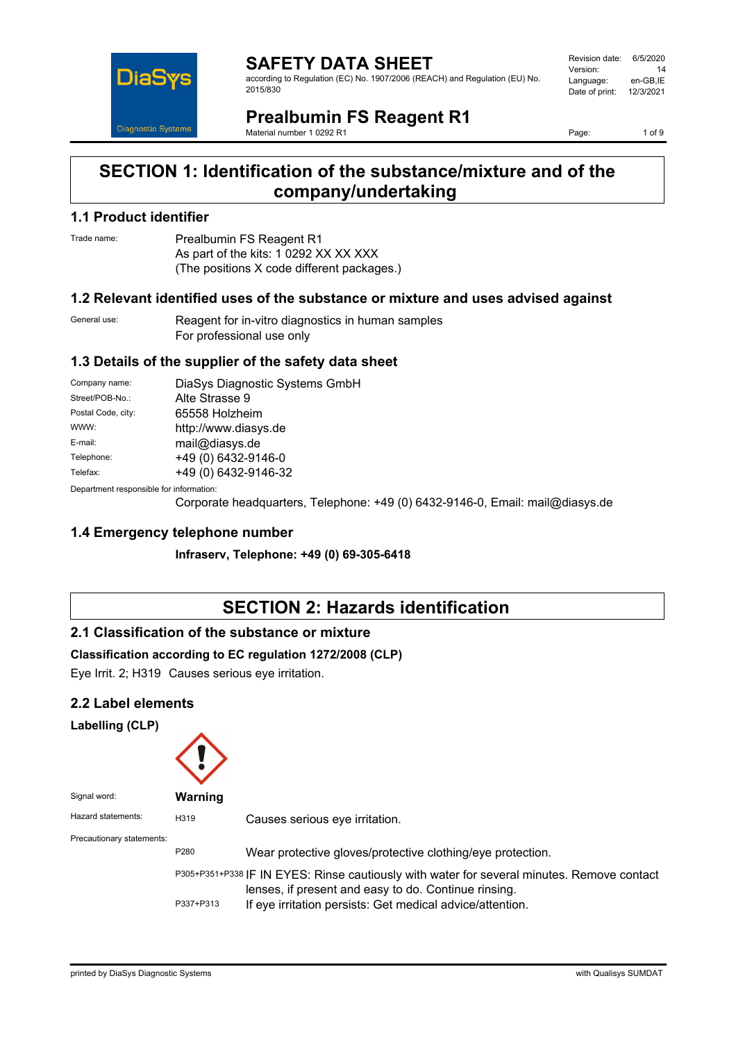

#### **SAFETY DATA SHEET** according to Regulation (EC) No. 1907/2006 (REACH) and Regulation (EU) No. 2015/830

Revision date: 6/5/2020 Version: 14<br>Language: en-GB.IE Language: Date of print: 12/3/2021

## **Prealbumin FS Reagent R1**

Material number 1 0292 R1

Page: 1 of 9

## **SECTION 1: Identification of the substance/mixture and of the company/undertaking**

### **1.1 Product identifier**

Trade name: Prealbumin FS Reagent R1 As part of the kits: 1 0292 XX XX XXX (The positions X code different packages.)

#### **1.2 Relevant identified uses of the substance or mixture and uses advised against**

General use: Reagent for in-vitro diagnostics in human samples For professional use only

### **1.3 Details of the supplier of the safety data sheet**

| Company name:                           | DiaSys Diagnostic Systems GmbH |  |
|-----------------------------------------|--------------------------------|--|
| Street/POB-No.:                         | Alte Strasse 9                 |  |
| Postal Code, city:                      | 65558 Holzheim                 |  |
| WWW:                                    | http://www.diasys.de           |  |
| E-mail:                                 | mail@diasys.de                 |  |
| Telephone:                              | +49 (0) 6432-9146-0            |  |
| Telefax:                                | +49 (0) 6432-9146-32           |  |
| Department responsible for information: |                                |  |

Department responsible fo

Corporate headquarters, Telephone: +49 (0) 6432-9146-0, Email: mail@diasys.de

### **1.4 Emergency telephone number**

**Infraserv, Telephone: +49 (0) 69-305-6418**

## **SECTION 2: Hazards identification**

### **2.1 Classification of the substance or mixture**

#### **Classification according to EC regulation 1272/2008 (CLP)**

Eye Irrit. 2; H319 Causes serious eye irritation.

#### **2.2 Label elements**

**Labelling (CLP)**

| Signal word:              | Warning   |                                                                                                                                                                                                                 |
|---------------------------|-----------|-----------------------------------------------------------------------------------------------------------------------------------------------------------------------------------------------------------------|
| Hazard statements:        | H319      | Causes serious eye irritation.                                                                                                                                                                                  |
| Precautionary statements: | P280      | Wear protective gloves/protective clothing/eye protection.                                                                                                                                                      |
|                           | P337+P313 | P305+P351+P338 IF IN EYES: Rinse cautiously with water for several minutes. Remove contact<br>lenses, if present and easy to do. Continue rinsing.<br>If eye irritation persists: Get medical advice/attention. |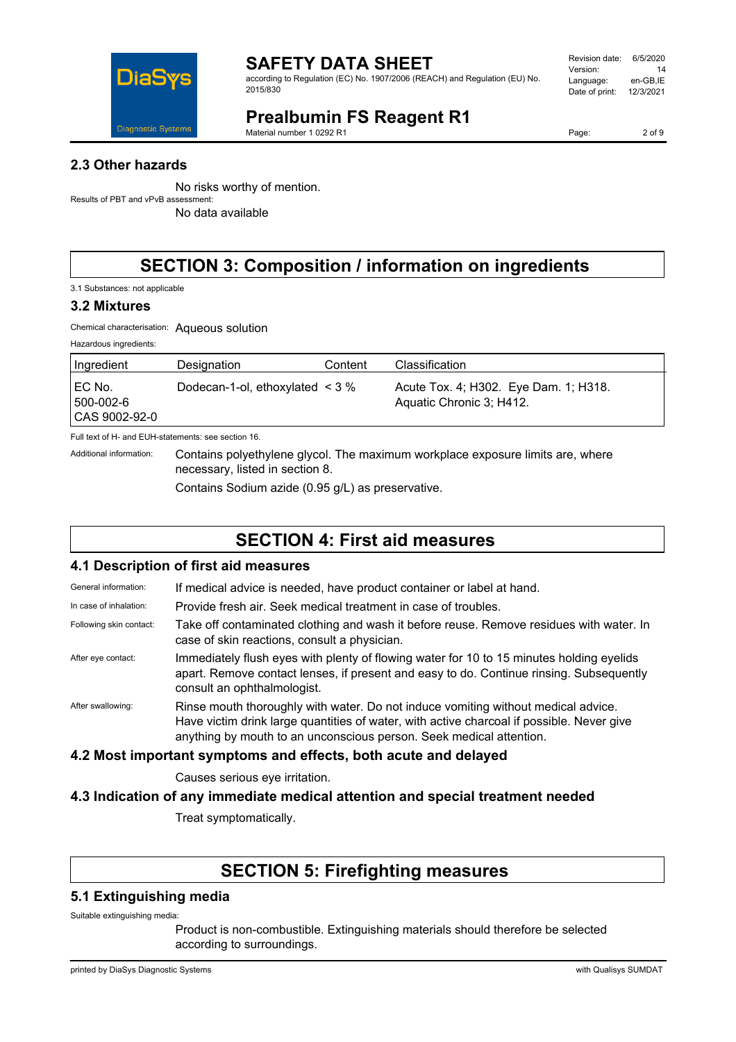

according to Regulation (EC) No. 1907/2006 (REACH) and Regulation (EU) No. 2015/830

| Revision date: | 6/5/2020  |
|----------------|-----------|
| Version:       | 14        |
| Language:      | en-GB.IE  |
| Date of print: | 12/3/2021 |
|                |           |

## **Prealbumin FS Reagent R1**

Material number 1 0292 R1

Page: 2 of 9

### **2.3 Other hazards**

No risks worthy of mention. Results of PBT and vPvB assessment:

No data available

# **SECTION 3: Composition / information on ingredients**

3.1 Substances: not applicable

### **3.2 Mixtures**

Chemical characterisation: Aqueous solution

|  | Hazardous ingredients: |
|--|------------------------|
|--|------------------------|

| Ingredient                           | Designation                          | Content | Classification                                                    |
|--------------------------------------|--------------------------------------|---------|-------------------------------------------------------------------|
| EC No.<br>500-002-6<br>CAS 9002-92-0 | Dodecan-1-ol, ethoxylated $\leq$ 3 % |         | Acute Tox. 4; H302. Eye Dam. 1; H318.<br>Aquatic Chronic 3; H412. |

Full text of H- and EUH-statements: see section 16.

Additional information: Contains polyethylene glycol. The maximum workplace exposure limits are, where necessary, listed in section 8.

Contains Sodium azide (0.95 g/L) as preservative.

## **SECTION 4: First aid measures**

#### **4.1 Description of first aid measures**

General information: If medical advice is needed, have product container or label at hand.

In case of inhalation: Provide fresh air. Seek medical treatment in case of troubles.

Following skin contact: Take off contaminated clothing and wash it before reuse. Remove residues with water. In case of skin reactions, consult a physician.

After eye contact: Immediately flush eyes with plenty of flowing water for 10 to 15 minutes holding eyelids apart. Remove contact lenses, if present and easy to do. Continue rinsing. Subsequently consult an ophthalmologist.

After swallowing: Rinse mouth thoroughly with water. Do not induce vomiting without medical advice. Have victim drink large quantities of water, with active charcoal if possible. Never give anything by mouth to an unconscious person. Seek medical attention.

#### **4.2 Most important symptoms and effects, both acute and delayed**

Causes serious eye irritation.

### **4.3 Indication of any immediate medical attention and special treatment needed**

Treat symptomatically.

## **SECTION 5: Firefighting measures**

#### **5.1 Extinguishing media**

Suitable extinguishing media:

Product is non-combustible. Extinguishing materials should therefore be selected according to surroundings.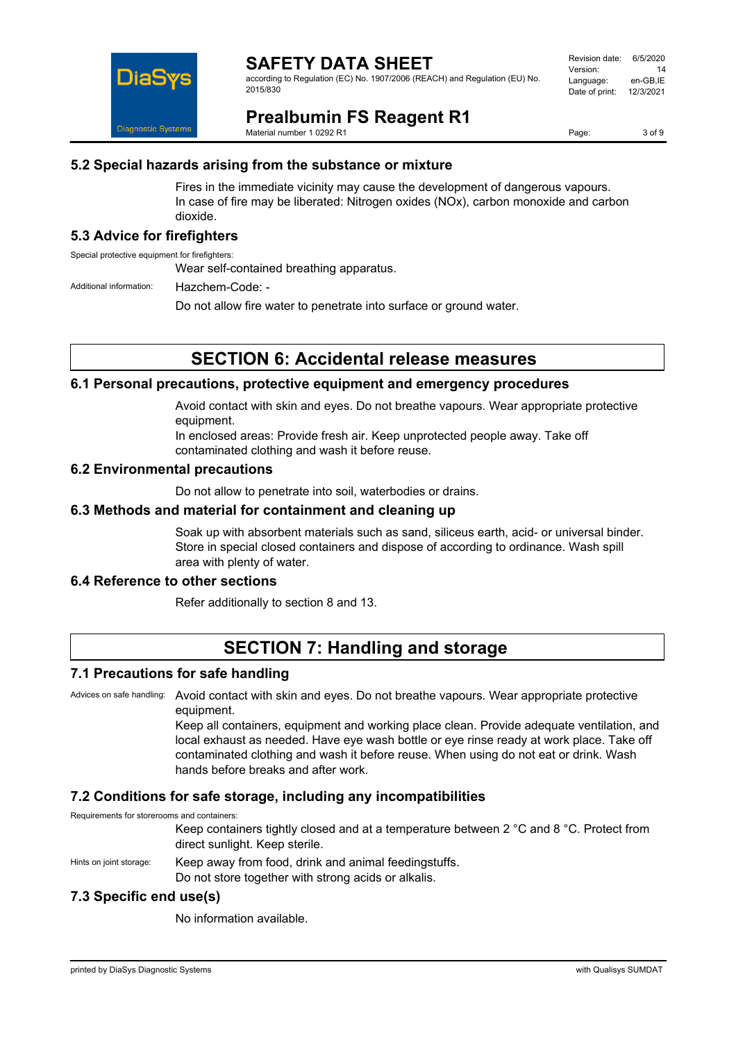

according to Regulation (EC) No. 1907/2006 (REACH) and Regulation (EU) No. 2015/830

| Revision date: | 6/5/2020  |
|----------------|-----------|
| Version:       | 14        |
| Language:      | en-GB.IE  |
| Date of print: | 12/3/2021 |
|                |           |

**Prealbumin FS Reagent R1** Material number 1 0292 R1

Page: 3 of 9

#### **5.2 Special hazards arising from the substance or mixture**

Fires in the immediate vicinity may cause the development of dangerous vapours. In case of fire may be liberated: Nitrogen oxides (NOx), carbon monoxide and carbon dioxide.

#### **5.3 Advice for firefighters**

Special protective equipment for firefighters:

Wear self-contained breathing apparatus.

Additional information: Hazchem-Code: -

Do not allow fire water to penetrate into surface or ground water.

### **SECTION 6: Accidental release measures**

#### **6.1 Personal precautions, protective equipment and emergency procedures**

Avoid contact with skin and eyes. Do not breathe vapours. Wear appropriate protective equipment.

In enclosed areas: Provide fresh air. Keep unprotected people away. Take off contaminated clothing and wash it before reuse.

#### **6.2 Environmental precautions**

Do not allow to penetrate into soil, waterbodies or drains.

#### **6.3 Methods and material for containment and cleaning up**

Soak up with absorbent materials such as sand, siliceus earth, acid- or universal binder. Store in special closed containers and dispose of according to ordinance. Wash spill area with plenty of water.

#### **6.4 Reference to other sections**

Refer additionally to section 8 and 13.

## **SECTION 7: Handling and storage**

#### **7.1 Precautions for safe handling**

Advices on safe handling: Avoid contact with skin and eyes. Do not breathe vapours. Wear appropriate protective equipment.

> Keep all containers, equipment and working place clean. Provide adequate ventilation, and local exhaust as needed. Have eye wash bottle or eye rinse ready at work place. Take off contaminated clothing and wash it before reuse. When using do not eat or drink. Wash hands before breaks and after work.

#### **7.2 Conditions for safe storage, including any incompatibilities**

Requirements for storerooms and containers:

Keep containers tightly closed and at a temperature between 2 °C and 8 °C. Protect from direct sunlight. Keep sterile.

Hints on joint storage: Keep away from food, drink and animal feedingstuffs. Do not store together with strong acids or alkalis.

#### **7.3 Specific end use(s)**

No information available.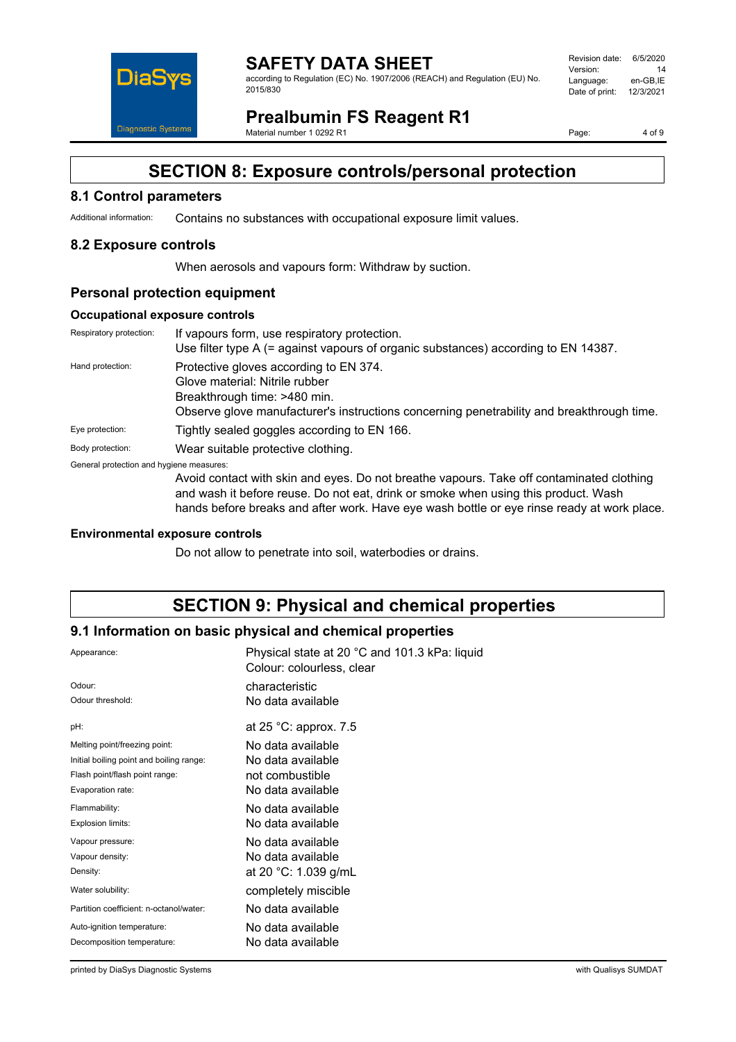

according to Regulation (EC) No. 1907/2006 (REACH) and Regulation (EU) No. 2015/830

| Revision date: | 6/5/2020  |
|----------------|-----------|
| Version:       | 14        |
| Language:      | en-GB.IE  |
| Date of print: | 12/3/2021 |
|                |           |

## **Prealbumin FS Reagent R1**

Material number 1 0292 R1

Page: 4 of 9

## **SECTION 8: Exposure controls/personal protection**

### **8.1 Control parameters**

Additional information: Contains no substances with occupational exposure limit values.

### **8.2 Exposure controls**

When aerosols and vapours form: Withdraw by suction.

### **Personal protection equipment**

#### **Occupational exposure controls**

| Respiratory protection:                  | If vapours form, use respiratory protection.<br>Use filter type A (= against vapours of organic substances) according to EN 14387.                                                                    |
|------------------------------------------|-------------------------------------------------------------------------------------------------------------------------------------------------------------------------------------------------------|
| Hand protection:                         | Protective gloves according to EN 374.<br>Glove material: Nitrile rubber<br>Breakthrough time: >480 min.<br>Observe glove manufacturer's instructions concerning penetrability and breakthrough time. |
| Eye protection:                          | Tightly sealed goggles according to EN 166.                                                                                                                                                           |
| Body protection:                         | Wear suitable protective clothing.                                                                                                                                                                    |
| General protection and hygiene measures: | Avoid contact with skin and eyes. Do not breathe vapours. Take off contaminated clothing                                                                                                              |

and wash it before reuse. Do not eat, drink or smoke when using this product. Wash

hands before breaks and after work. Have eye wash bottle or eye rinse ready at work place.

#### **Environmental exposure controls**

Do not allow to penetrate into soil, waterbodies or drains.

## **SECTION 9: Physical and chemical properties**

#### **9.1 Information on basic physical and chemical properties**

| Appearance:                              | Physical state at 20 °C and 101.3 kPa: liquid<br>Colour: colourless, clear |
|------------------------------------------|----------------------------------------------------------------------------|
| Odour:                                   | characteristic                                                             |
| Odour threshold:                         | No data available                                                          |
| pH:                                      | at $25 \degree$ C: approx. 7.5                                             |
| Melting point/freezing point:            | No data available                                                          |
| Initial boiling point and boiling range: | No data available                                                          |
| Flash point/flash point range:           | not combustible                                                            |
| Evaporation rate:                        | No data available                                                          |
| Flammability:                            | No data available                                                          |
| Explosion limits:                        | No data available                                                          |
| Vapour pressure:                         | No data available                                                          |
| Vapour density:                          | No data available                                                          |
| Density:                                 | at 20 °C: 1.039 g/mL                                                       |
| Water solubility:                        | completely miscible                                                        |
| Partition coefficient: n-octanol/water:  | No data available                                                          |
| Auto-ignition temperature:               | No data available                                                          |
| Decomposition temperature:               | No data available                                                          |
|                                          |                                                                            |

printed by DiaSys Diagnostic Systems with Qualisys SUMDAT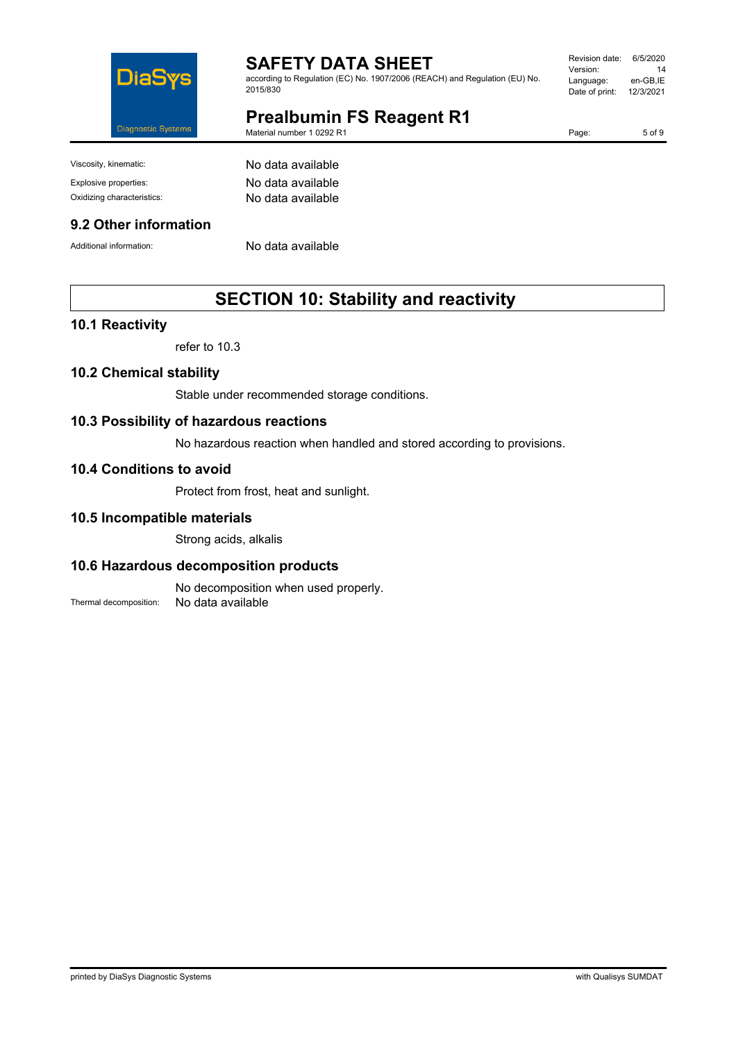

according to Regulation (EC) No. 1907/2006 (REACH) and Regulation (EU) No. 2015/830

#### Revision date: 6/5/2020 Version: 14<br>Language: en-GB,IE Language: Date of print: 12/3/2021

**Prealbumin FS Reagent R1**

Material number 1 0292 R1

Page: 5 of 9

Viscosity, kinematic: No data available

#### **9.2 Other information**

Additional information: No data available

Explosive properties: No data available Oxidizing characteristics: No data available

## **SECTION 10: Stability and reactivity**

#### **10.1 Reactivity**

refer to 10.3

#### **10.2 Chemical stability**

Stable under recommended storage conditions.

#### **10.3 Possibility of hazardous reactions**

No hazardous reaction when handled and stored according to provisions.

#### **10.4 Conditions to avoid**

Protect from frost, heat and sunlight.

#### **10.5 Incompatible materials**

Strong acids, alkalis

#### **10.6 Hazardous decomposition products**

No decomposition when used properly. Thermal decomposition: No data available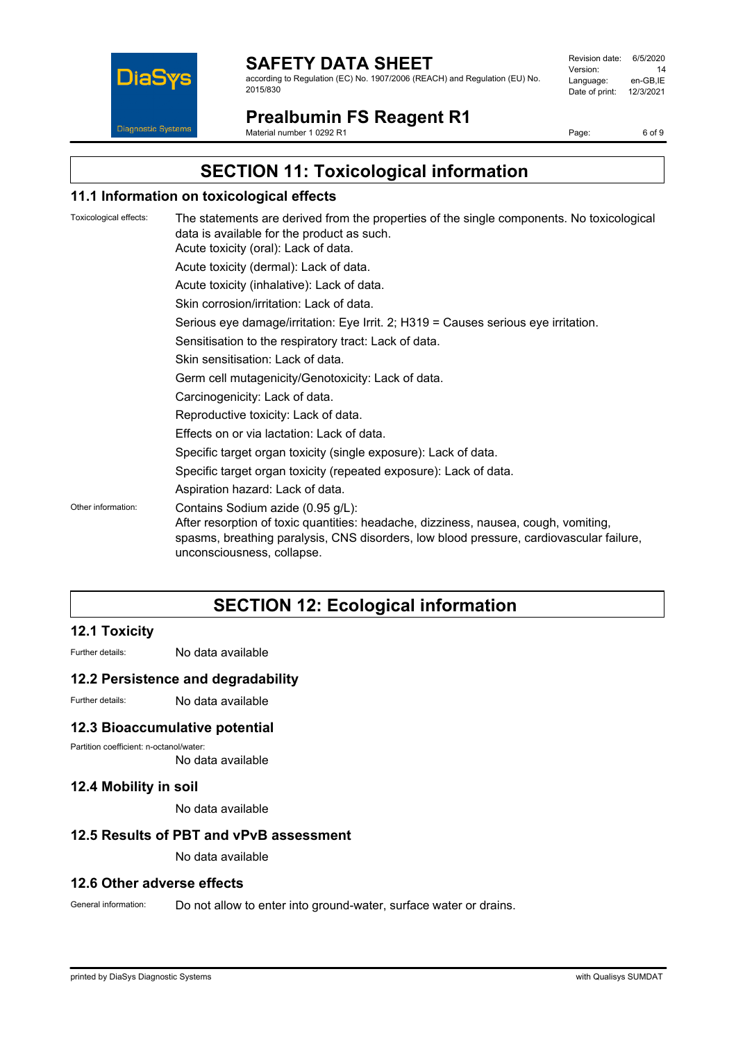

according to Regulation (EC) No. 1907/2006 (REACH) and Regulation (EU) No. 2015/830

| Revision date: | 6/5/2020  |
|----------------|-----------|
| Version:       | 14        |
| Language:      | en-GB.IE  |
| Date of print: | 12/3/2021 |
|                |           |

## **Prealbumin FS Reagent R1**

Material number 1 0292 R1

Page: 6 of 9

## **SECTION 11: Toxicological information**

#### **11.1 Information on toxicological effects**

| Toxicological effects: | The statements are derived from the properties of the single components. No toxicological<br>data is available for the product as such.<br>Acute toxicity (oral): Lack of data.                                                                   |
|------------------------|---------------------------------------------------------------------------------------------------------------------------------------------------------------------------------------------------------------------------------------------------|
|                        | Acute toxicity (dermal): Lack of data.                                                                                                                                                                                                            |
|                        | Acute toxicity (inhalative): Lack of data.                                                                                                                                                                                                        |
|                        | Skin corrosion/irritation: Lack of data.                                                                                                                                                                                                          |
|                        | Serious eye damage/irritation: Eye Irrit. 2; H319 = Causes serious eye irritation.                                                                                                                                                                |
|                        | Sensitisation to the respiratory tract: Lack of data.                                                                                                                                                                                             |
|                        | Skin sensitisation: Lack of data.                                                                                                                                                                                                                 |
|                        | Germ cell mutagenicity/Genotoxicity: Lack of data.                                                                                                                                                                                                |
|                        | Carcinogenicity: Lack of data.                                                                                                                                                                                                                    |
|                        | Reproductive toxicity: Lack of data.                                                                                                                                                                                                              |
|                        | Effects on or via lactation: Lack of data.                                                                                                                                                                                                        |
|                        | Specific target organ toxicity (single exposure): Lack of data.                                                                                                                                                                                   |
|                        | Specific target organ toxicity (repeated exposure): Lack of data.                                                                                                                                                                                 |
|                        | Aspiration hazard: Lack of data.                                                                                                                                                                                                                  |
| Other information:     | Contains Sodium azide (0.95 g/L):<br>After resorption of toxic quantities: headache, dizziness, nausea, cough, vomiting,<br>spasms, breathing paralysis, CNS disorders, low blood pressure, cardiovascular failure,<br>unconsciousness, collapse. |

## **SECTION 12: Ecological information**

### **12.1 Toxicity**

Further details: No data available

#### **12.2 Persistence and degradability**

Further details: No data available

#### **12.3 Bioaccumulative potential**

Partition coefficient: n-octanol/water:

No data available

#### **12.4 Mobility in soil**

No data available

#### **12.5 Results of PBT and vPvB assessment**

No data available

#### **12.6 Other adverse effects**

General information: Do not allow to enter into ground-water, surface water or drains.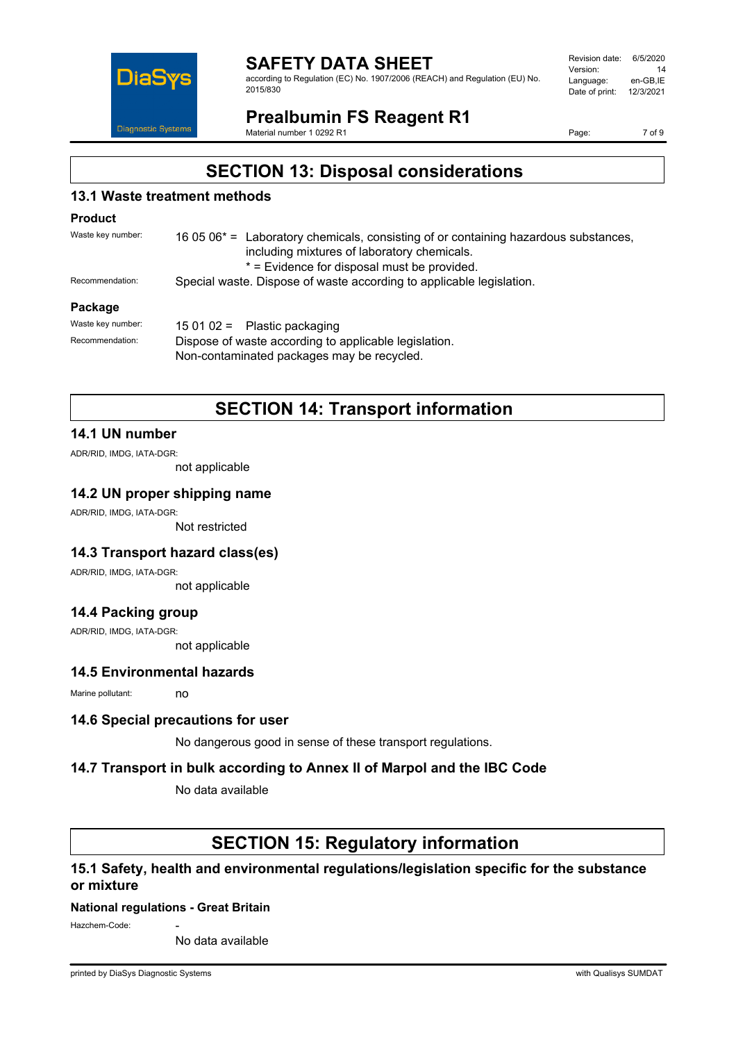

according to Regulation (EC) No. 1907/2006 (REACH) and Regulation (EU) No. 2015/830

| Revision date: | 6/5/2020  |
|----------------|-----------|
| Version:       | 14        |
| Language:      | en-GB.IE  |
| Date of print: | 12/3/2021 |
|                |           |

### **Prealbumin FS Reagent R1**

Material number 1 0292 R1

Page: 7 of 9

## **SECTION 13: Disposal considerations**

### **13.1 Waste treatment methods**

#### **Product**

| Waste key number: | 16 05 06 $*$ = Laboratory chemicals, consisting of or containing hazardous substances,<br>including mixtures of laboratory chemicals. |  |
|-------------------|---------------------------------------------------------------------------------------------------------------------------------------|--|
|                   | * = Evidence for disposal must be provided.                                                                                           |  |
| Recommendation:   | Special waste. Dispose of waste according to applicable legislation.                                                                  |  |
| <b>Dealises</b>   |                                                                                                                                       |  |

#### **Package**

| Waste kev number: | 15 01 02 = Plastic packaging                          |
|-------------------|-------------------------------------------------------|
| Recommendation:   | Dispose of waste according to applicable legislation. |
|                   | Non-contaminated packages may be recycled.            |

## **SECTION 14: Transport information**

### **14.1 UN number**

ADR/RID, IMDG, IATA-DGR:

not applicable

#### **14.2 UN proper shipping name**

ADR/RID, IMDG, IATA-DGR:

Not restricted

#### **14.3 Transport hazard class(es)**

ADR/RID, IMDG, IATA-DGR:

not applicable

#### **14.4 Packing group**

ADR/RID, IMDG, IATA-DGR:

not applicable

### **14.5 Environmental hazards**

Marine pollutant: no

#### **14.6 Special precautions for user**

No dangerous good in sense of these transport regulations.

#### **14.7 Transport in bulk according to Annex II of Marpol and the IBC Code**

No data available

### **SECTION 15: Regulatory information**

### **15.1 Safety, health and environmental regulations/legislation specific for the substance or mixture**

#### **National regulations - Great Britain**

Hazchem-Code:

No data available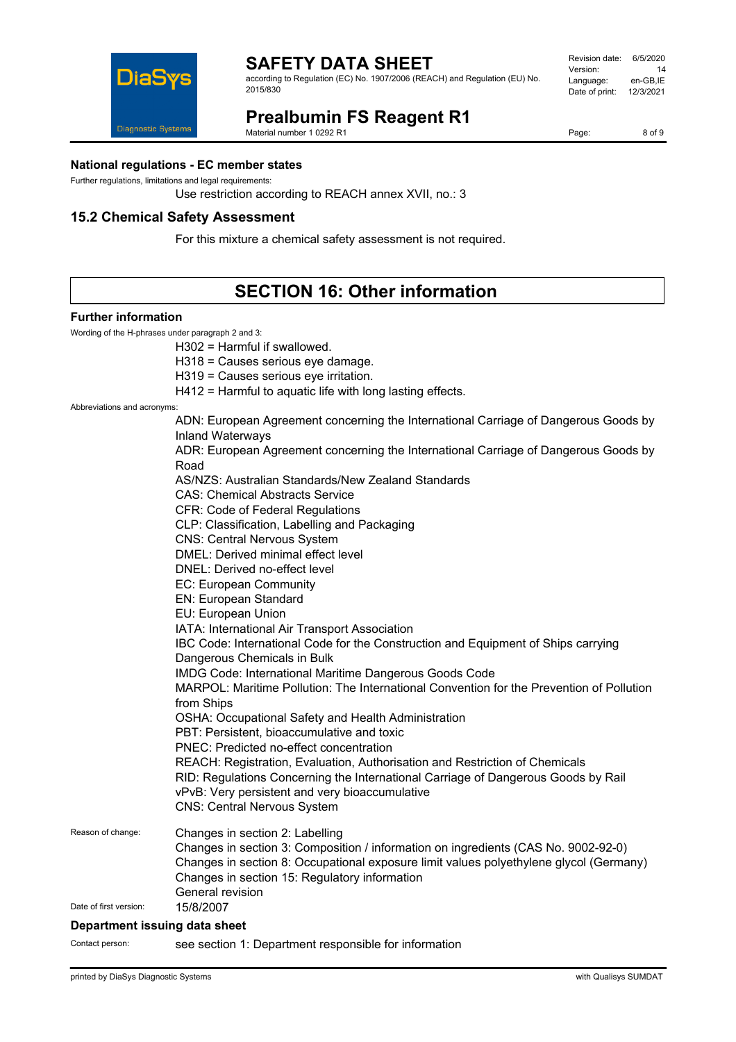

according to Regulation (EC) No. 1907/2006 (REACH) and Regulation (EU) No.

# **Prealbumin FS Reagent R1**

Material number 1 0292 R1

Page: 8 of 9

#### **National regulations - EC member states**

Further regulations, limitations and legal requirements:

Diagnostic Systems

Use restriction according to REACH annex XVII, no.: 3

### **15.2 Chemical Safety Assessment**

For this mixture a chemical safety assessment is not required.

## **SECTION 16: Other information**

#### **Further information**

Wording of the H-phrases under paragraph 2 and 3:

H302 = Harmful if swallowed.

H318 = Causes serious eye damage.

H319 = Causes serious eye irritation.

H412 = Harmful to aquatic life with long lasting effects.

Abbreviations and acronyms:

|                        | ADN: European Agreement concerning the International Carriage of Dangerous Goods by<br><b>Inland Waterways</b>                      |
|------------------------|-------------------------------------------------------------------------------------------------------------------------------------|
|                        | ADR: European Agreement concerning the International Carriage of Dangerous Goods by                                                 |
|                        | Road<br>AS/NZS: Australian Standards/New Zealand Standards                                                                          |
|                        | <b>CAS: Chemical Abstracts Service</b>                                                                                              |
|                        | CFR: Code of Federal Regulations                                                                                                    |
|                        | CLP: Classification, Labelling and Packaging                                                                                        |
|                        | <b>CNS: Central Nervous System</b>                                                                                                  |
|                        | DMEL: Derived minimal effect level                                                                                                  |
|                        | DNEL: Derived no-effect level                                                                                                       |
|                        | EC: European Community                                                                                                              |
|                        | <b>EN: European Standard</b>                                                                                                        |
|                        | EU: European Union                                                                                                                  |
|                        | IATA: International Air Transport Association                                                                                       |
|                        | IBC Code: International Code for the Construction and Equipment of Ships carrying                                                   |
|                        | Dangerous Chemicals in Bulk                                                                                                         |
|                        | IMDG Code: International Maritime Dangerous Goods Code                                                                              |
|                        | MARPOL: Maritime Pollution: The International Convention for the Prevention of Pollution<br>from Ships                              |
|                        | OSHA: Occupational Safety and Health Administration                                                                                 |
|                        | PBT: Persistent, bioaccumulative and toxic                                                                                          |
|                        | <b>PNEC: Predicted no-effect concentration</b>                                                                                      |
|                        | REACH: Registration, Evaluation, Authorisation and Restriction of Chemicals                                                         |
|                        | RID: Regulations Concerning the International Carriage of Dangerous Goods by Rail<br>vPvB: Very persistent and very bioaccumulative |
|                        | <b>CNS: Central Nervous System</b>                                                                                                  |
| Reason of change:      | Changes in section 2: Labelling<br>Changes in section 3: Composition / information on ingredients (CAS No. 9002-92-0)               |
|                        | Changes in section 8: Occupational exposure limit values polyethylene glycol (Germany)                                              |
|                        | Changes in section 15: Regulatory information<br>General revision                                                                   |
| Date of first version: | 15/8/2007                                                                                                                           |
|                        |                                                                                                                                     |

#### **Department issuing data sheet**

Contact person: see section 1: Department responsible for information